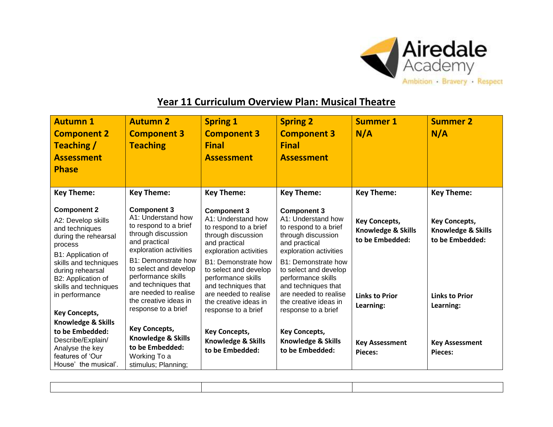

## **Year 11 Curriculum Overview Plan: Musical Theatre**

| <b>Autumn1</b><br><b>Component 2</b><br><b>Teaching /</b><br><b>Assessment</b><br><b>Phase</b>                                                                   | <b>Autumn 2</b><br><b>Component 3</b><br><b>Teaching</b>                                                                                                                                                        | <b>Spring 1</b><br><b>Component 3</b><br><b>Final</b><br><b>Assessment</b>                                                                                                                               | <b>Spring 2</b><br><b>Component 3</b><br><b>Final</b><br><b>Assessment</b>                                                                                                                               | <b>Summer 1</b><br>N/A                                        | <b>Summer 2</b><br>N/A                                        |
|------------------------------------------------------------------------------------------------------------------------------------------------------------------|-----------------------------------------------------------------------------------------------------------------------------------------------------------------------------------------------------------------|----------------------------------------------------------------------------------------------------------------------------------------------------------------------------------------------------------|----------------------------------------------------------------------------------------------------------------------------------------------------------------------------------------------------------|---------------------------------------------------------------|---------------------------------------------------------------|
| <b>Key Theme:</b>                                                                                                                                                | <b>Key Theme:</b>                                                                                                                                                                                               | <b>Key Theme:</b>                                                                                                                                                                                        | <b>Key Theme:</b>                                                                                                                                                                                        | <b>Key Theme:</b>                                             | <b>Key Theme:</b>                                             |
| <b>Component 2</b><br>A2: Develop skills<br>and techniques<br>during the rehearsal<br>process<br>B1: Application of<br>skills and techniques<br>during rehearsal | <b>Component 3</b><br>A1: Understand how<br>to respond to a brief<br>through discussion<br>and practical<br>exploration activities<br><b>B1: Demonstrate how</b><br>to select and develop<br>performance skills | <b>Component 3</b><br>A1: Understand how<br>to respond to a brief<br>through discussion<br>and practical<br>exploration activities<br>B1: Demonstrate how<br>to select and develop<br>performance skills | <b>Component 3</b><br>A1: Understand how<br>to respond to a brief<br>through discussion<br>and practical<br>exploration activities<br>B1: Demonstrate how<br>to select and develop<br>performance skills | <b>Key Concepts,</b><br>Knowledge & Skills<br>to be Embedded: | <b>Key Concepts,</b><br>Knowledge & Skills<br>to be Embedded: |
| B2: Application of<br>skills and techniques<br>in performance<br><b>Key Concepts,</b>                                                                            | and techniques that<br>are needed to realise<br>the creative ideas in<br>response to a brief                                                                                                                    | and techniques that<br>are needed to realise<br>the creative ideas in<br>response to a brief                                                                                                             | and techniques that<br>are needed to realise<br>the creative ideas in<br>response to a brief                                                                                                             | <b>Links to Prior</b><br>Learning:                            | <b>Links to Prior</b><br>Learning:                            |
| Knowledge & Skills<br>to be Embedded:<br>Describe/Explain/<br>Analyse the key<br>features of 'Our<br>House' the musical'.                                        | <b>Key Concepts,</b><br>Knowledge & Skills<br>to be Embedded:<br>Working To a<br>stimulus; Planning;                                                                                                            | <b>Key Concepts,</b><br>Knowledge & Skills<br>to be Embedded:                                                                                                                                            | <b>Key Concepts,</b><br><b>Knowledge &amp; Skills</b><br>to be Embedded:                                                                                                                                 | <b>Key Assessment</b><br>Pieces:                              | <b>Key Assessment</b><br>Pieces:                              |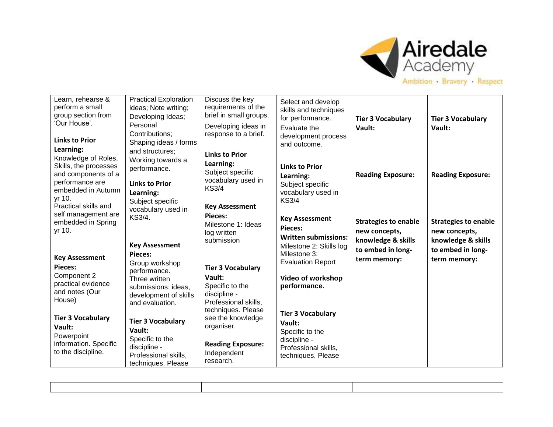

| Learn, rehearse &<br>perform a small<br>group section from<br>'Our House'.<br><b>Links to Prior</b>                                 | <b>Practical Exploration</b><br>ideas; Note writing;<br>Developing Ideas;<br>Personal<br>Contributions:<br>Shaping ideas / forms | Discuss the key<br>requirements of the<br>brief in small groups.<br>Developing ideas in<br>response to a brief.     | Select and develop<br>skills and techniques<br>for performance.<br>Evaluate the<br>development process<br>and outcome. | <b>Tier 3 Vocabulary</b><br>Vault:                                                      | <b>Tier 3 Vocabulary</b><br>Vault:                                                      |
|-------------------------------------------------------------------------------------------------------------------------------------|----------------------------------------------------------------------------------------------------------------------------------|---------------------------------------------------------------------------------------------------------------------|------------------------------------------------------------------------------------------------------------------------|-----------------------------------------------------------------------------------------|-----------------------------------------------------------------------------------------|
| Learning:<br>Knowledge of Roles,<br>Skills, the processes<br>and components of a<br>performance are<br>embedded in Autumn<br>yr 10. | and structures:<br>Working towards a<br>performance.<br><b>Links to Prior</b><br>Learning:<br>Subject specific                   | <b>Links to Prior</b><br>Learning:<br>Subject specific<br>vocabulary used in<br><b>KS3/4</b>                        | <b>Links to Prior</b><br>Learning:<br>Subject specific<br>vocabulary used in<br><b>KS3/4</b>                           | <b>Reading Exposure:</b>                                                                | <b>Reading Exposure:</b>                                                                |
| Practical skills and<br>self management are<br>embedded in Spring<br>yr 10.                                                         | vocabulary used in<br>KS3/4.<br><b>Key Assessment</b><br><b>Pieces:</b>                                                          | <b>Key Assessment</b><br>Pieces:<br>Milestone 1: Ideas<br>log written<br>submission                                 | <b>Key Assessment</b><br>Pieces:<br><b>Written submissions:</b><br>Milestone 2: Skills log<br>Milestone 3:             | <b>Strategies to enable</b><br>new concepts,<br>knowledge & skills<br>to embed in long- | <b>Strategies to enable</b><br>new concepts,<br>knowledge & skills<br>to embed in long- |
| <b>Key Assessment</b><br>Pieces:<br>Component 2<br>practical evidence<br>and notes (Our<br>House)                                   | Group workshop<br>performance.<br>Three written<br>submissions: ideas,<br>development of skills<br>and evaluation.               | <b>Tier 3 Vocabulary</b><br>Vault:<br>Specific to the<br>discipline -<br>Professional skills,<br>techniques. Please | <b>Evaluation Report</b><br>Video of workshop<br>performance.                                                          | term memory:                                                                            | term memory:                                                                            |
| <b>Tier 3 Vocabulary</b><br>Vault:<br>Powerpoint<br>information. Specific<br>to the discipline.                                     | <b>Tier 3 Vocabulary</b><br>Vault:<br>Specific to the<br>discipline -<br>Professional skills,<br>techniques. Please              | see the knowledge<br>organiser.<br><b>Reading Exposure:</b><br>Independent<br>research.                             | <b>Tier 3 Vocabulary</b><br>Vault:<br>Specific to the<br>discipline -<br>Professional skills,<br>techniques. Please    |                                                                                         |                                                                                         |